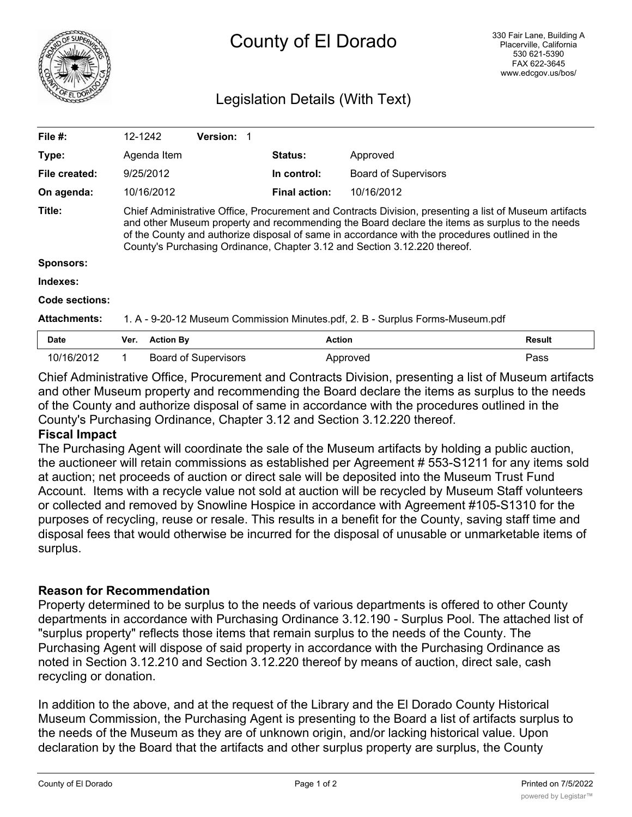

## Legislation Details (With Text)

| File $#$ :          | 12-1242                                                                                                                                                                                                                                                                                                                                                                                 | <b>Version:</b>             |                      |                             |        |
|---------------------|-----------------------------------------------------------------------------------------------------------------------------------------------------------------------------------------------------------------------------------------------------------------------------------------------------------------------------------------------------------------------------------------|-----------------------------|----------------------|-----------------------------|--------|
| Type:               | Agenda Item                                                                                                                                                                                                                                                                                                                                                                             |                             | <b>Status:</b>       | Approved                    |        |
| File created:       | 9/25/2012                                                                                                                                                                                                                                                                                                                                                                               |                             | In control:          | <b>Board of Supervisors</b> |        |
| On agenda:          | 10/16/2012                                                                                                                                                                                                                                                                                                                                                                              |                             | <b>Final action:</b> | 10/16/2012                  |        |
| Title:              | Chief Administrative Office, Procurement and Contracts Division, presenting a list of Museum artifacts<br>and other Museum property and recommending the Board declare the items as surplus to the needs<br>of the County and authorize disposal of same in accordance with the procedures outlined in the<br>County's Purchasing Ordinance, Chapter 3.12 and Section 3.12.220 thereof. |                             |                      |                             |        |
| <b>Sponsors:</b>    |                                                                                                                                                                                                                                                                                                                                                                                         |                             |                      |                             |        |
| Indexes:            |                                                                                                                                                                                                                                                                                                                                                                                         |                             |                      |                             |        |
| Code sections:      |                                                                                                                                                                                                                                                                                                                                                                                         |                             |                      |                             |        |
| <b>Attachments:</b> | 1. A - 9-20-12 Museum Commission Minutes.pdf, 2. B - Surplus Forms-Museum.pdf                                                                                                                                                                                                                                                                                                           |                             |                      |                             |        |
| <b>Date</b>         | Ver.                                                                                                                                                                                                                                                                                                                                                                                    | <b>Action By</b>            | <b>Action</b>        |                             | Result |
| 10/16/2012          |                                                                                                                                                                                                                                                                                                                                                                                         | <b>Board of Supervisors</b> |                      | Approved                    | Pass   |

Chief Administrative Office, Procurement and Contracts Division, presenting a list of Museum artifacts and other Museum property and recommending the Board declare the items as surplus to the needs of the County and authorize disposal of same in accordance with the procedures outlined in the County's Purchasing Ordinance, Chapter 3.12 and Section 3.12.220 thereof.

## **Fiscal Impact**

The Purchasing Agent will coordinate the sale of the Museum artifacts by holding a public auction, the auctioneer will retain commissions as established per Agreement # 553-S1211 for any items sold at auction; net proceeds of auction or direct sale will be deposited into the Museum Trust Fund Account. Items with a recycle value not sold at auction will be recycled by Museum Staff volunteers or collected and removed by Snowline Hospice in accordance with Agreement #105-S1310 for the purposes of recycling, reuse or resale. This results in a benefit for the County, saving staff time and disposal fees that would otherwise be incurred for the disposal of unusable or unmarketable items of surplus.

## **Reason for Recommendation**

Property determined to be surplus to the needs of various departments is offered to other County departments in accordance with Purchasing Ordinance 3.12.190 - Surplus Pool. The attached list of "surplus property" reflects those items that remain surplus to the needs of the County. The Purchasing Agent will dispose of said property in accordance with the Purchasing Ordinance as noted in Section 3.12.210 and Section 3.12.220 thereof by means of auction, direct sale, cash recycling or donation.

In addition to the above, and at the request of the Library and the El Dorado County Historical Museum Commission, the Purchasing Agent is presenting to the Board a list of artifacts surplus to the needs of the Museum as they are of unknown origin, and/or lacking historical value. Upon declaration by the Board that the artifacts and other surplus property are surplus, the County